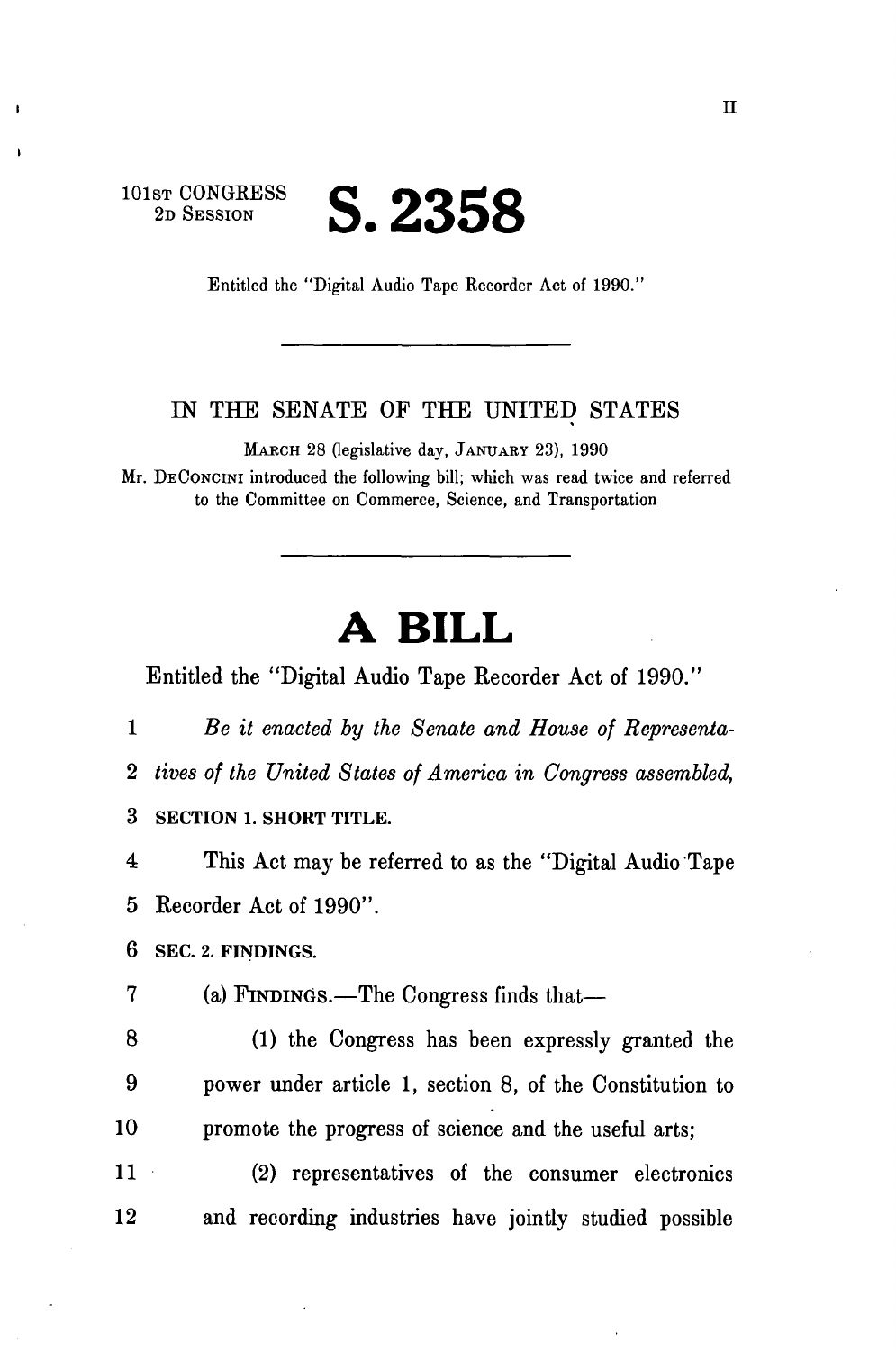**101ST CONGRESS** 

## **ST CONGRESS S. 2358**

Entitled the "Digital Audio Tape Recorder Act of 1990."

## LN THE SENATE OF THE UNITED STATES

MARCH 28 (legislative day, JANUARY 23), 1990

Mr. DECONCINI introduced the following bill; which was read twice and referred to the Committee on Commerce, Science, and Transportation

## **A BILL**

Entitled the "Digital Audio Tape Recorder Act of 1990."

1 *Be it enacted by the Senate and House of Representa-*2 *tives of the United States of America in Congress assembled,*  3 **SECTION 1. SHORT TITLE.** 

4 This Act may be referred to as the "Digital Audio Tape 5 Recorder Act of 1990".

**6 SEC. 2. FINDINGS.** 

7 (a) FINDINGS.—The Congress finds that—

8 (1) the Congress has been expressly granted the 9 power under article 1, section 8, of the Constitution to 10 promote the progress of science and the useful arts;

11 (2) representatives of the consumer electronics 12 and recording industries have jointly studied possible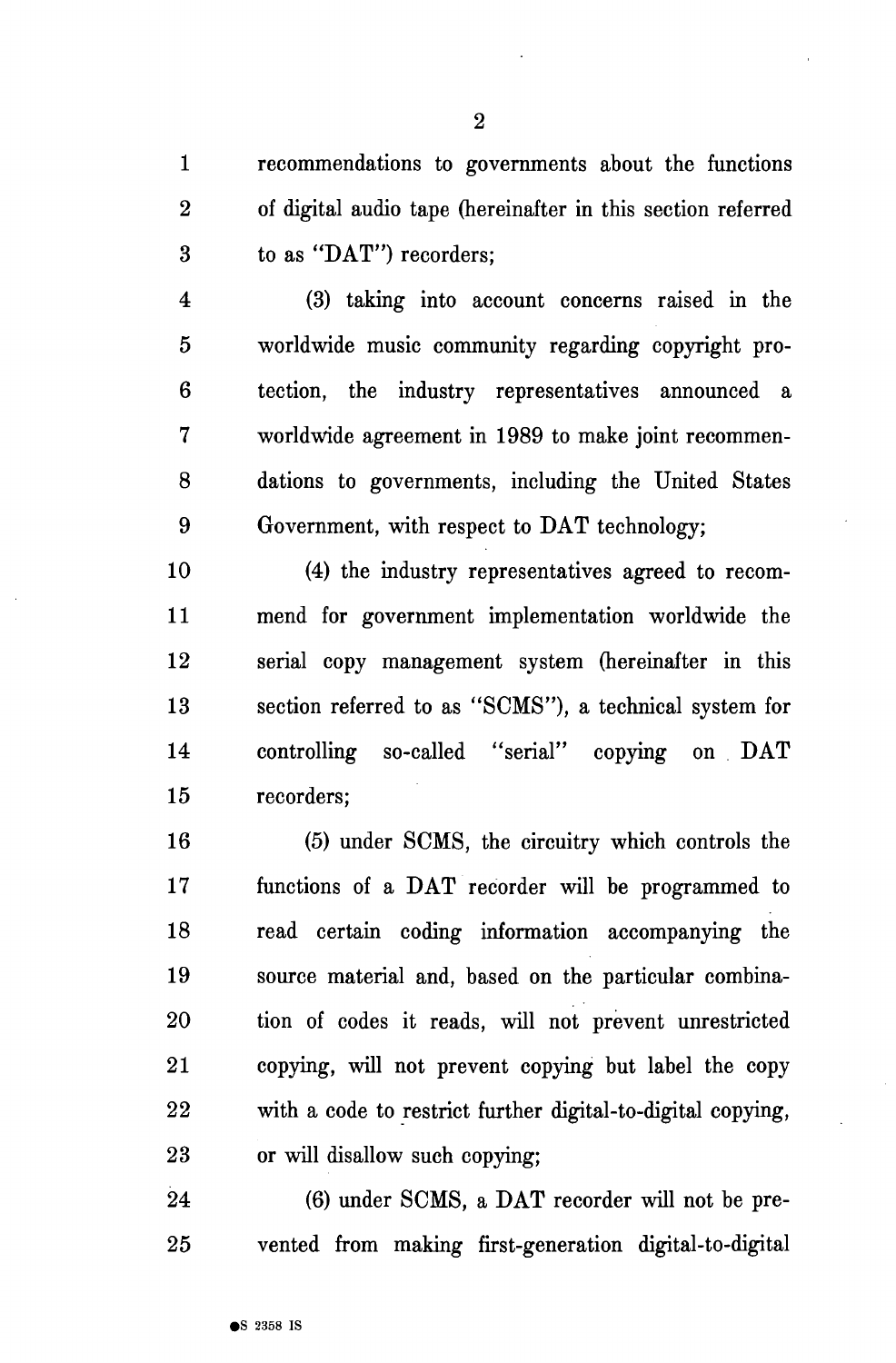1 recommendations to governments about the functions 2 of digital audio tape (hereinafter in this section referred 3 to as "DAT") recorders;

4 (3) taking into account concerns raised in the 5 worldwide music community regarding copyright pro-6 tection, the industry representatives announced a 7 worldwide agreement in 1989 to make joint recommen-8 dations to governments, including the United States 9 Government, with respect to DAT technology;

10 (4) the industry representatives agreed to recom-11 mend for government implementation worldwide the 12 serial copy management system (hereinafter in this 13 section referred to as "SCMS"), a technical system for 14 controlling so-called "serial" copying on DAT 15 recorders;

16 (5) under SCMS, the circuitry which controls the 17 functions of a DAT recorder will be programmed to 18 read certain coding information accompanying the 19 source material and, based on the particular combina-20 tion of codes it reads, will not prevent unrestricted 21 copying, will not prevent copying but label the copy 22 with a code to restrict further digital-to-digital copying, 23 or will disallow such copying;

24 (6) under SCMS, a DAT recorder will not be pre-25 vented from making first-generation digital-to-digital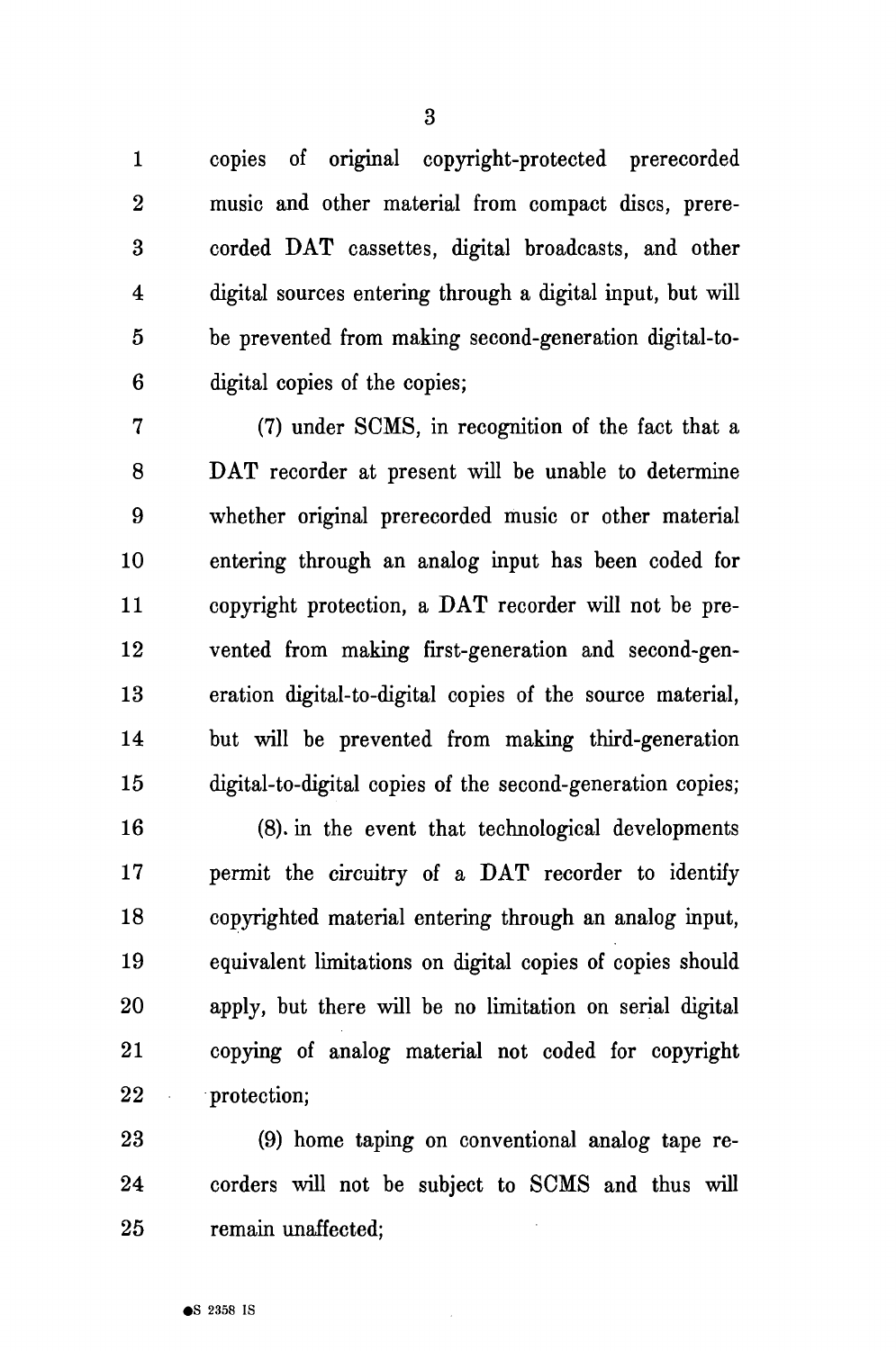1 copies of original copyright-protected prerecorded 2 music and other material from compact discs, prere-3 corded DAT cassettes, digital broadcasts, and other 4 digital sources entering through a digital input, but will 5 be prevented from making second-generation digital-to-6 digital copies of the copies;

7 (7) under SCMS, in recognition of the fact that a 8 DAT recorder at present will be unable to determine 9 whether original prerecorded music or other material 10 entering through an analog input has been coded for 11 copyright protection, a DAT recorder will not be pre-12 vented from making first-generation and second-gen-13 eration digital-to-digital copies of the source material, 14 but will be prevented from making third-generation 15 digital-to-digital copies of the second-generation copies;

16 (8). in the event that technological developments 17 permit the circuitry of a DAT recorder to identify 18 copyrighted material entering through an analog input, 19 equivalent limitations on digital copies of copies should 20 apply, but there will be no limitation on serial digital 21 copying of analog material not coded for copyright 22 protection;

23 (9) home taping on conventional analog tape re-24 corders will not be subject to SCMS and thus will 25 remain unaffected;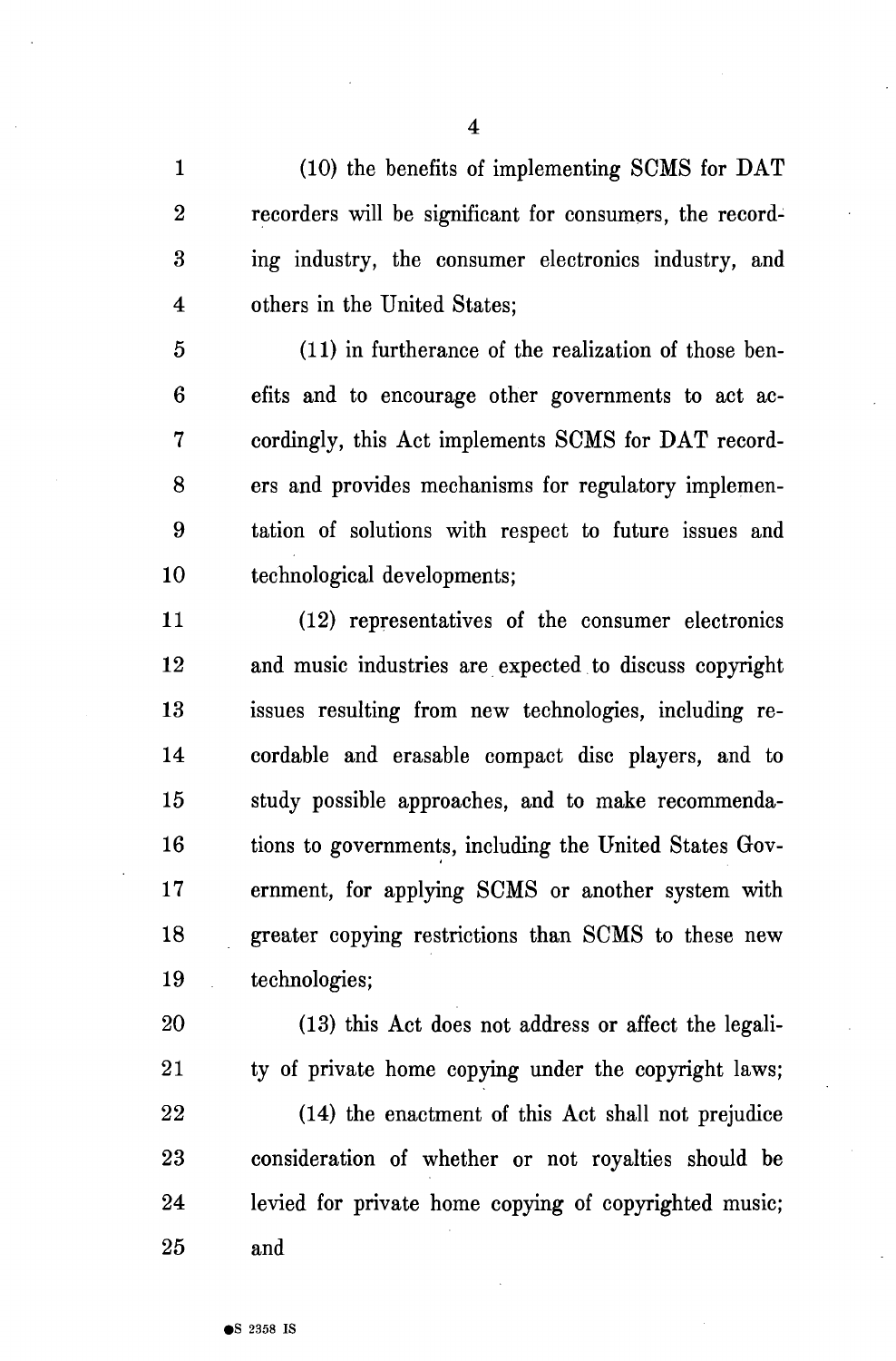1 (10) the benefits of implementing SCMS for DAT 2 recorders will be significant for consumers, the record-3 ing industry, the consumer electronics industry, and 4 others in the United States;

5 (11) in furtherance of the realization of those ben-6 efits and to encourage other governments to act ac-7 cordingly, this Act implements SCMS for DAT record-8 ers and provides mechanisms for regulatory implemen-9 tation of solutions with respect to future issues and 10 technological developments;

11 (12) representatives of the consumer electronics 12 and music industries are expected to discuss copyright 13 issues resulting from new technologies, including re-14 cordable and erasable compact disc players, and to 15 study possible approaches, and to make recommenda-16 tions to governments, including the United States Gov-17 ernment, for applying SCMS or another system with 18 greater copying restrictions than SCMS to these new 19 technologies;

20 (13) this Act does not address or affect the legali-21 ty of private home copying under the copyright laws;

22 (14) the enactment of this Act shall not prejudice 23 consideration of whether or not royalties should be 24 levied for private home copying of copyrighted music; 25 and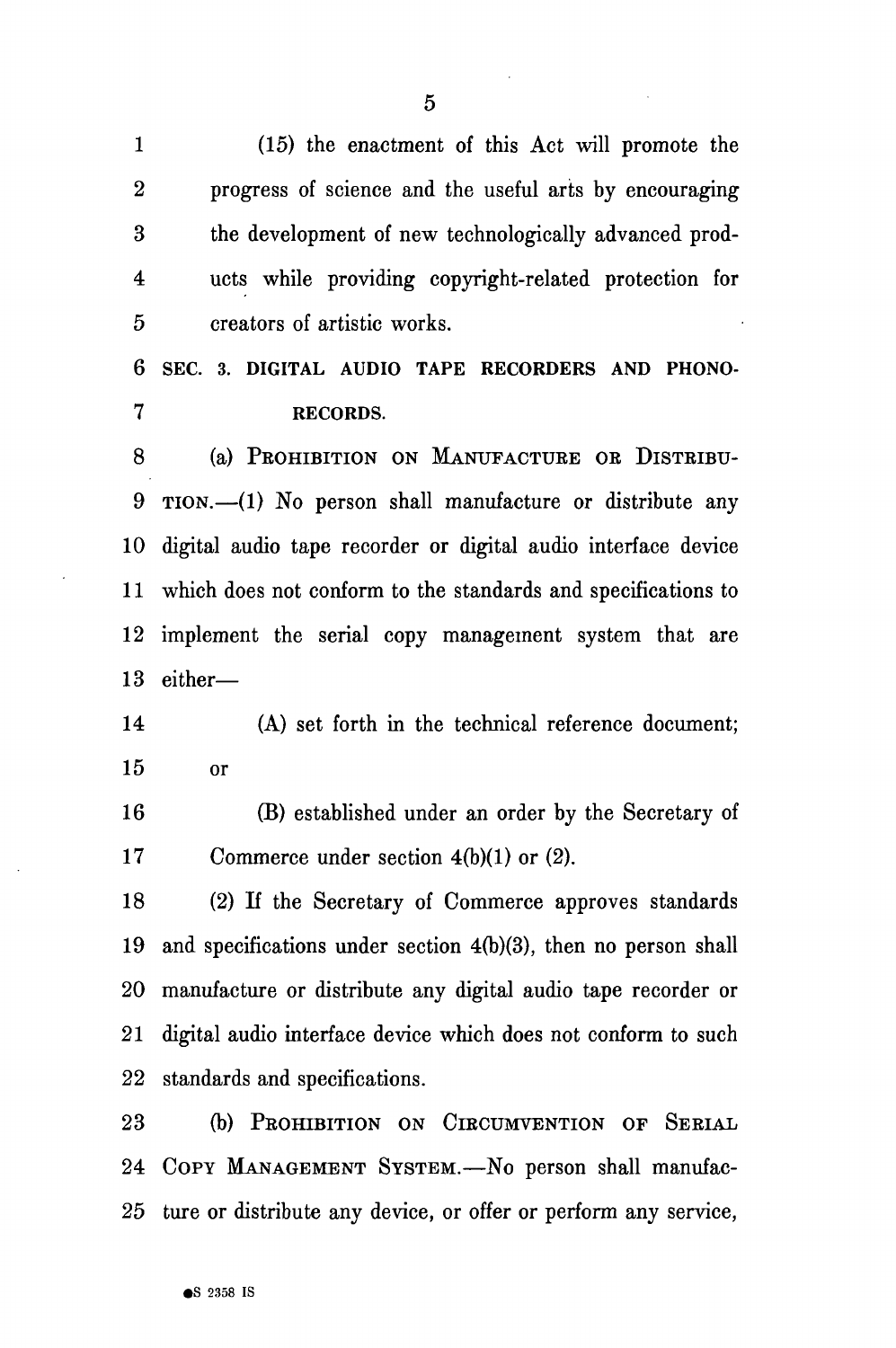1 (15) the enactment of this Act will promote the 2 progress of science and the useful arts by encouraging 3 the development of new technologically advanced prod-4 ucts while providing copyright-related protection for 5 creators of artistic works. **6 SEC. 3. DIGITAL AUDIO TAPE RECORDERS AND PHONO-**

**7 RECORDS.** 

8 (a) PROHIBITION ON MANUFACTURE OR DISTRIBU-9 TION.—(1) No person shall manufacture or distribute any 10 digital audio tape recorder or digital audio interface device 11 which does not conform to the standards and specifications to 12 implement the serial copy management system that are 13 either—

14 (A) set forth in the technical reference document; 15 or

16 (B) established under an order by the Secretary of 17 Commerce under section 4(b)(1) or (2).

18 (2) If the Secretary of Commerce approves standards 19 and specifications under section 4(b)(3), then no person shall 20 manufacture or distribute any digital audio tape recorder or 21 digital audio interface device which does not conform to such 22 standards and specifications.

23 (b) PROHIBITION ON CIRCUMVENTION OF SERIAL 24 COPY MANAGEMENT SYSTEM.—No person shall manufac-25 ture or distribute any device, or offer or perform any service,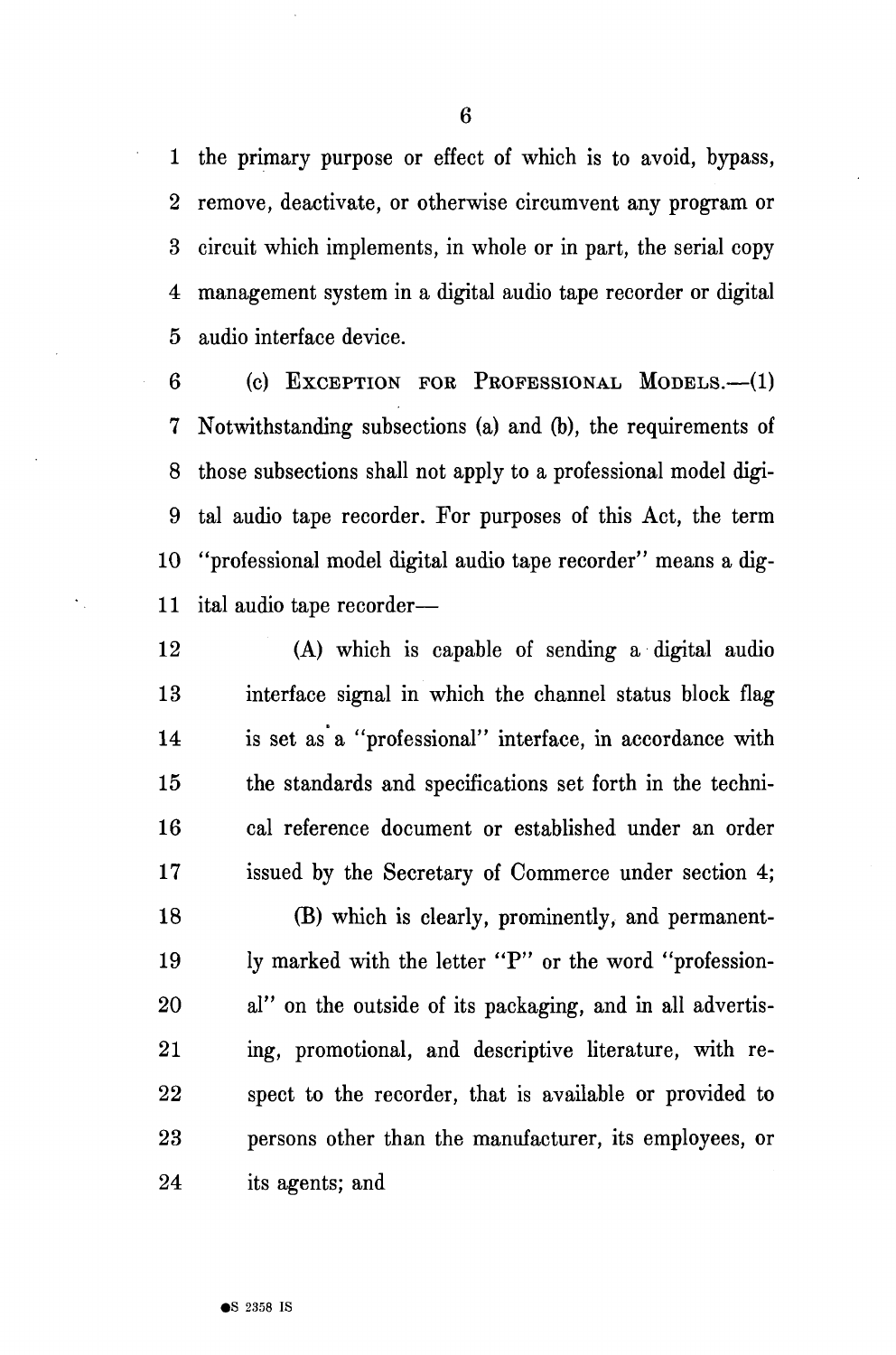1 the primary purpose or effect of which is to avoid, bypass, 2 remove, deactivate, or otherwise circumvent any program or 3 circuit which implements, in whole or in part, the serial copy 4 management system in a digital audio tape recorder or digital 5 audio interface device.

6 (c) EXCEPTION FOE PROFESSIONAL MODELS.—(1) 7 Notwithstanding subsections (a) and (b), the requirements of 8 those subsections shall not apply to a professional model digi-9 tal audio tape recorder. For purposes of this Act, the term 10 "professional model digital audio tape recorder" means a dig-11 ital audio tape recorder—

12 (A) which is capable of sending a digital audio 13 interface signal in which the channel status block flag 14 is set as a "professional" interface, in accordance with 15 the standards and specifications set forth in the techni-16 cal reference document or established under an order 17 issued by the Secretary of Commerce under section 4;

18 (B) which is clearly, prominently, and permanent-19 ly marked with the letter "P" or the word "profession-20 al" on the outside of its packaging, and in all advertis-21 ing, promotional, and descriptive literature, with re-22 spect to the recorder, that is available or provided to 23 persons other than the manufacturer, its employees, or 24 its agents; and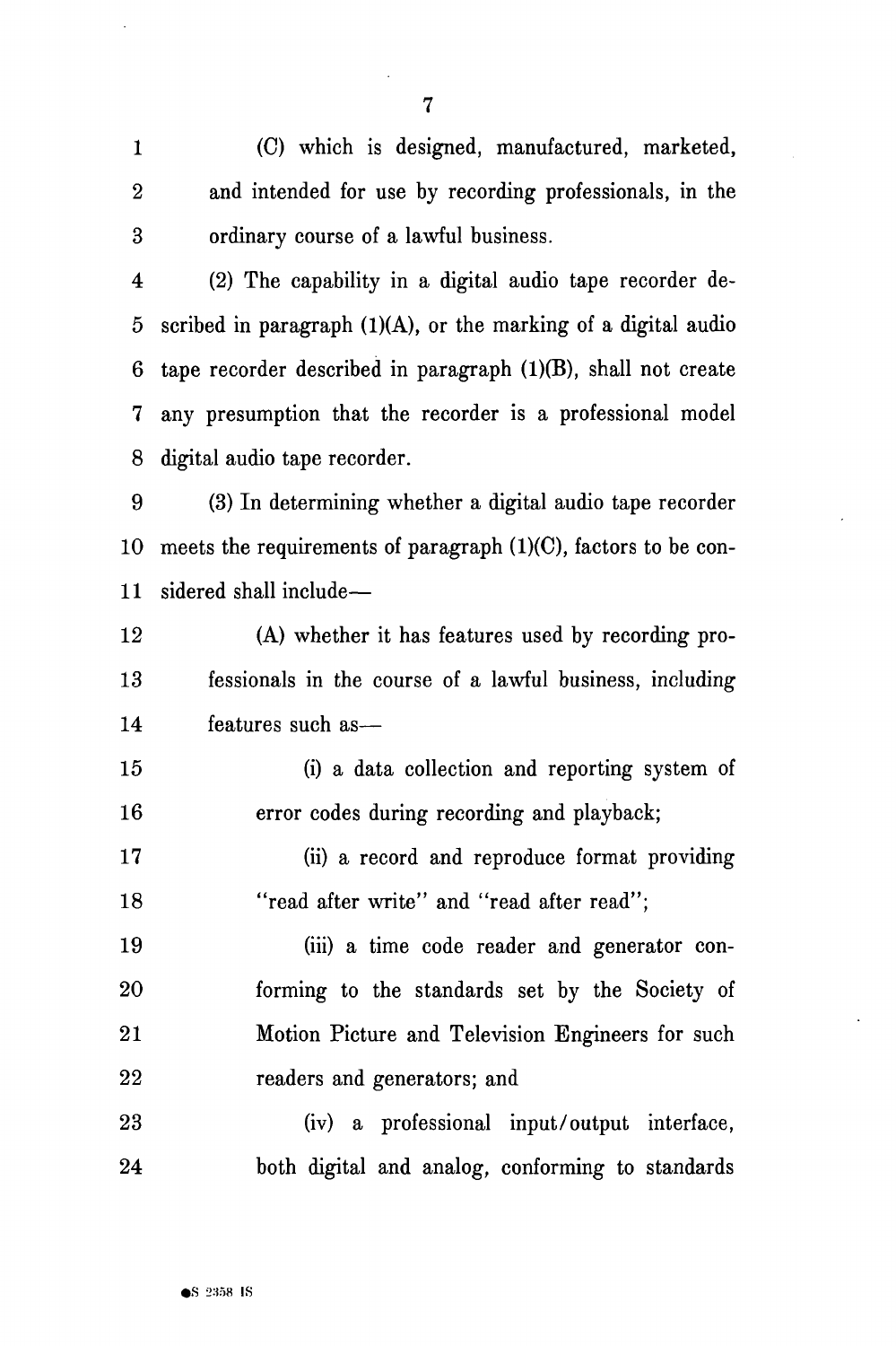1 (C) which is designed, manufactured, marketed, 2 and intended for use by recording professionals, in the 3 ordinary course of a lawful business.

4 (2) The capability in a digital audio tape recorder de-5 scribed in paragraph  $(1)(A)$ , or the marking of a digital audio 6 tape recorder described in paragraph (1)(B), shall not create 7 any presumption that the recorder is a professional model 8 digital audio tape recorder.

9 (3) In determining whether a digital audio tape recorder 10 meets the requirements of paragraph (1)(C), factors to be con-11 sidered shall include—

12 (A) whether it has features used by recording pro-13 fessionals in the course of a lawful business, including 14 features such as—

15 (i) a data collection and reporting system of 16 error codes during recording and playback;

17 (ii) a record and reproduce format providing 18 "read after write" and "read after read";

19 (iii) a time code reader and generator con-20 forming to the standards set by the Society of 21 Motion Picture and Television Engineers for such 22 readers and generators; and

23 (iv) a professional input/output interface, 24 both digital and analog, conforming to standards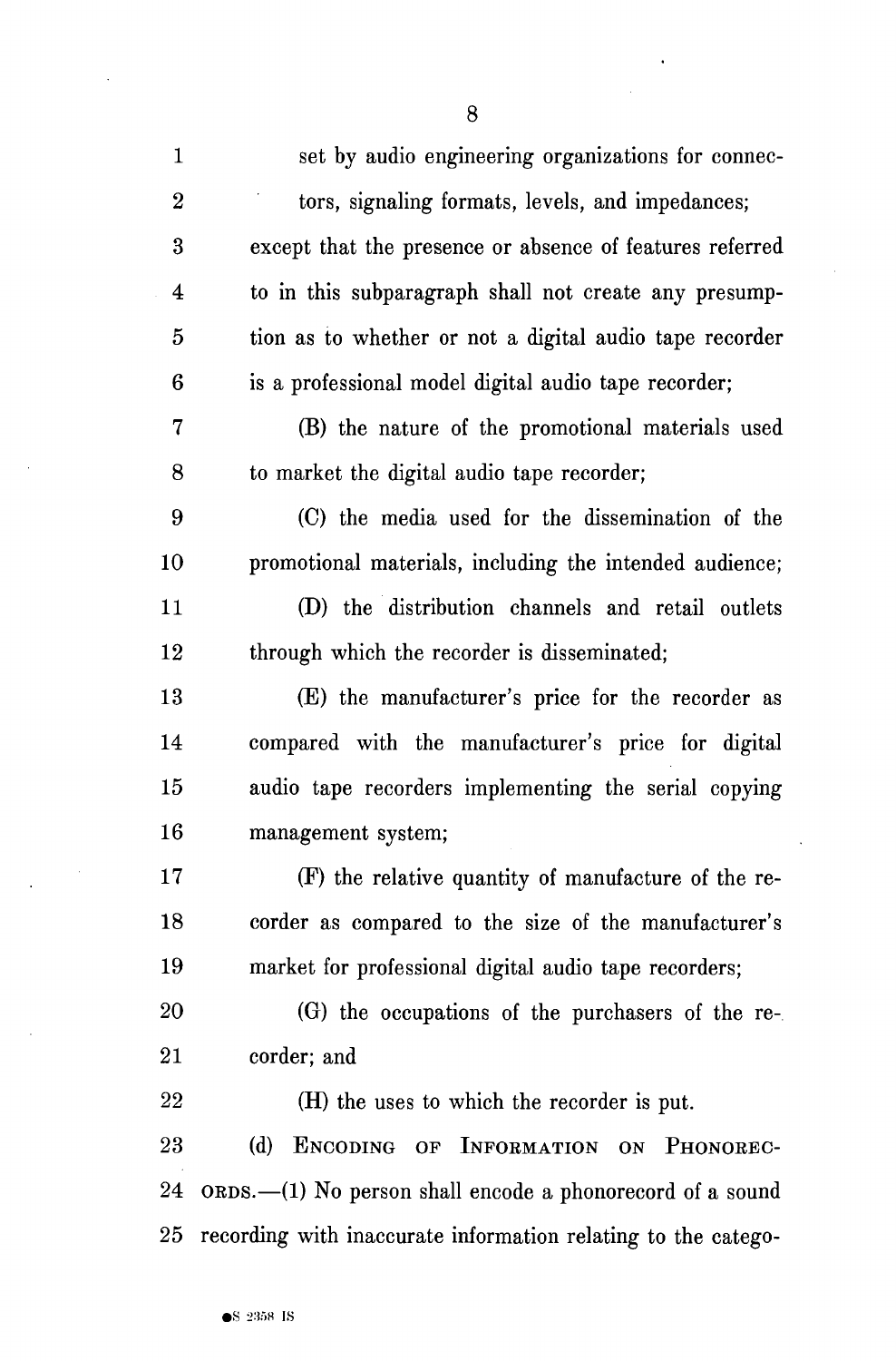| $\mathbf{1}$   | set by audio engineering organizations for connec-            |
|----------------|---------------------------------------------------------------|
| $\overline{2}$ | tors, signaling formats, levels, and impedances;              |
| 3              | except that the presence or absence of features referred      |
| 4              | to in this subparagraph shall not create any presump-         |
| $\overline{5}$ | tion as to whether or not a digital audio tape recorder       |
| 6              | is a professional model digital audio tape recorder;          |
| 7              | (B) the nature of the promotional materials used              |
| 8              | to market the digital audio tape recorder;                    |
| 9              | (C) the media used for the dissemination of the               |
| 10             | promotional materials, including the intended audience;       |
| 11             | (D) the distribution channels and retail outlets              |
| 12             | through which the recorder is disseminated;                   |
| 13             | (E) the manufacturer's price for the recorder as              |
| 14             | compared with the manufacturer's price for digital            |
| 15             | audio tape recorders implementing the serial copying          |
| 16             | management system;                                            |
| 17             | (F) the relative quantity of manufacture of the re-           |
| 18             | corder as compared to the size of the manufacturer's          |
| 19             | market for professional digital audio tape recorders;         |
| 20             | (G) the occupations of the purchasers of the re-              |
| 21             | corder; and                                                   |
| 22             | (H) the uses to which the recorder is put.                    |
| 23             | (d)<br>ENCODING OF INFORMATION ON PHONOREC-                   |
| 24             | ORDS.-(1) No person shall encode a phonorecord of a sound     |
| 25             | recording with inaccurate information relating to the catego- |

8

 $\ddot{\phantom{1}}$ 

 $\bar{z}$ 

 $\hat{\mathcal{A}}$ 

 $\ddot{\phantom{1}}$ 

J.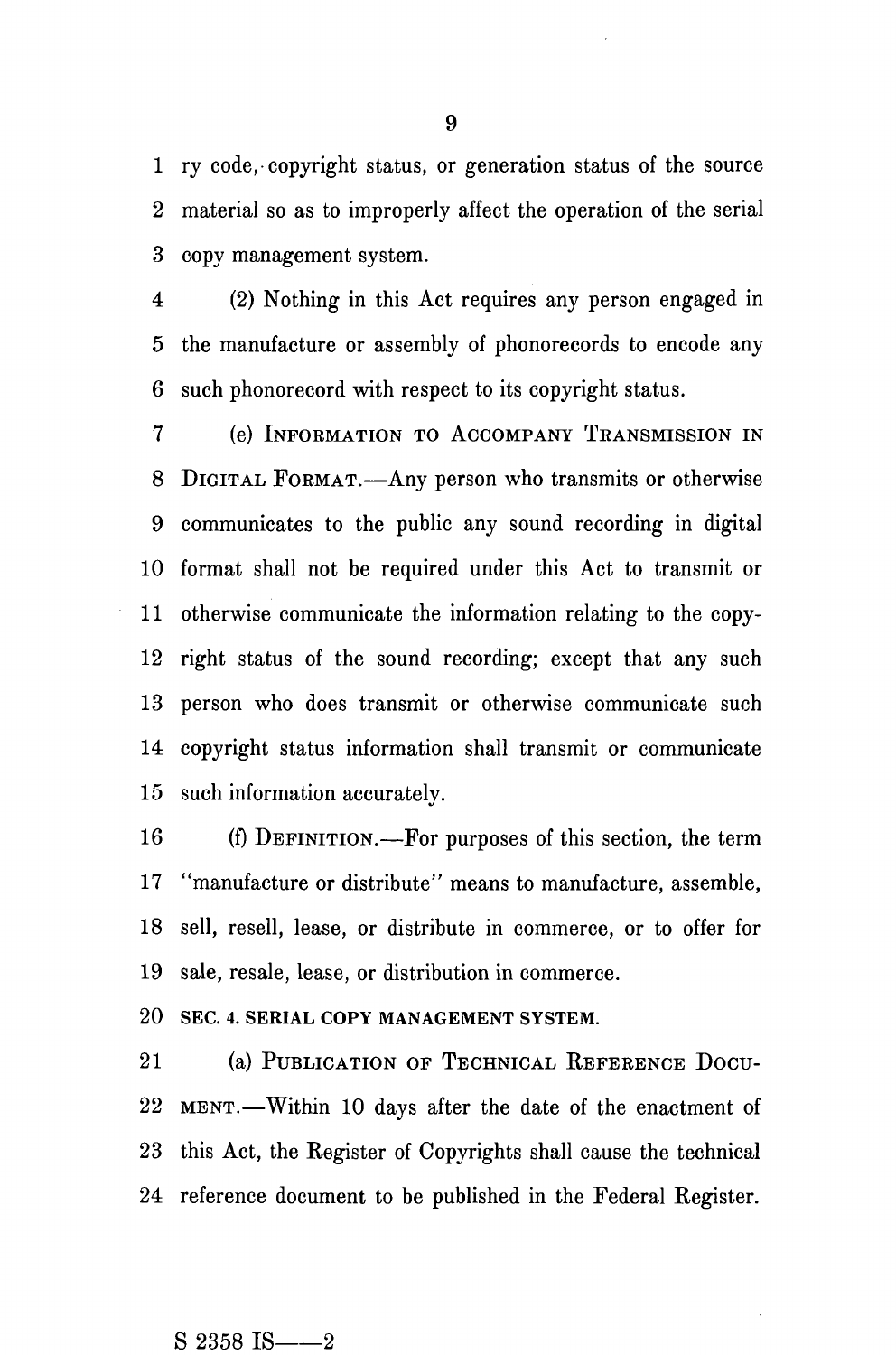1 ry code, copyright status, or generation status of the source 2 material so as to improperly affect the operation of the serial 3 copy management system.

4 (2) Nothing in this Act requires any person engaged in 5 the manufacture or assembly of phonorecords to encode any 6 such phonorecord with respect to its copyright status.

7 (e) INFORMATION TO ACCOMPANY TEANSMISSION IN 8 DIGITAL FORMAT.—Any person who transmits or otherwise 9 communicates to the public any sound recording in digital 10 format shall not be required under this Act to transmit or 11 otherwise communicate the information relating to the copy-12 right status of the sound recording; except that any such 13 person who does transmit or otherwise communicate such 14 copyright status information shall transmit or communicate 15 such information accurately.

16 (f) DEFINITION.—For purposes of this section, the term 17 "manufacture or distribute" means to manufacture, assemble, 18 sell, resell, lease, or distribute in commerce, or to offer for 19 sale, resale, lease, or distribution in commerce.

20 SEC. 4. SERIAL COPY MANAGEMENT SYSTEM.

21 (a) PUBLICATION OF TECHNICAL REFERENCE DOCU-22 MENT.—Within 10 days after the date of the enactment of 23 this Act, the Register of Copyrights shall cause the technical 24 reference document to be published in the Federal Register.

## $S$  2358 IS  $-$  2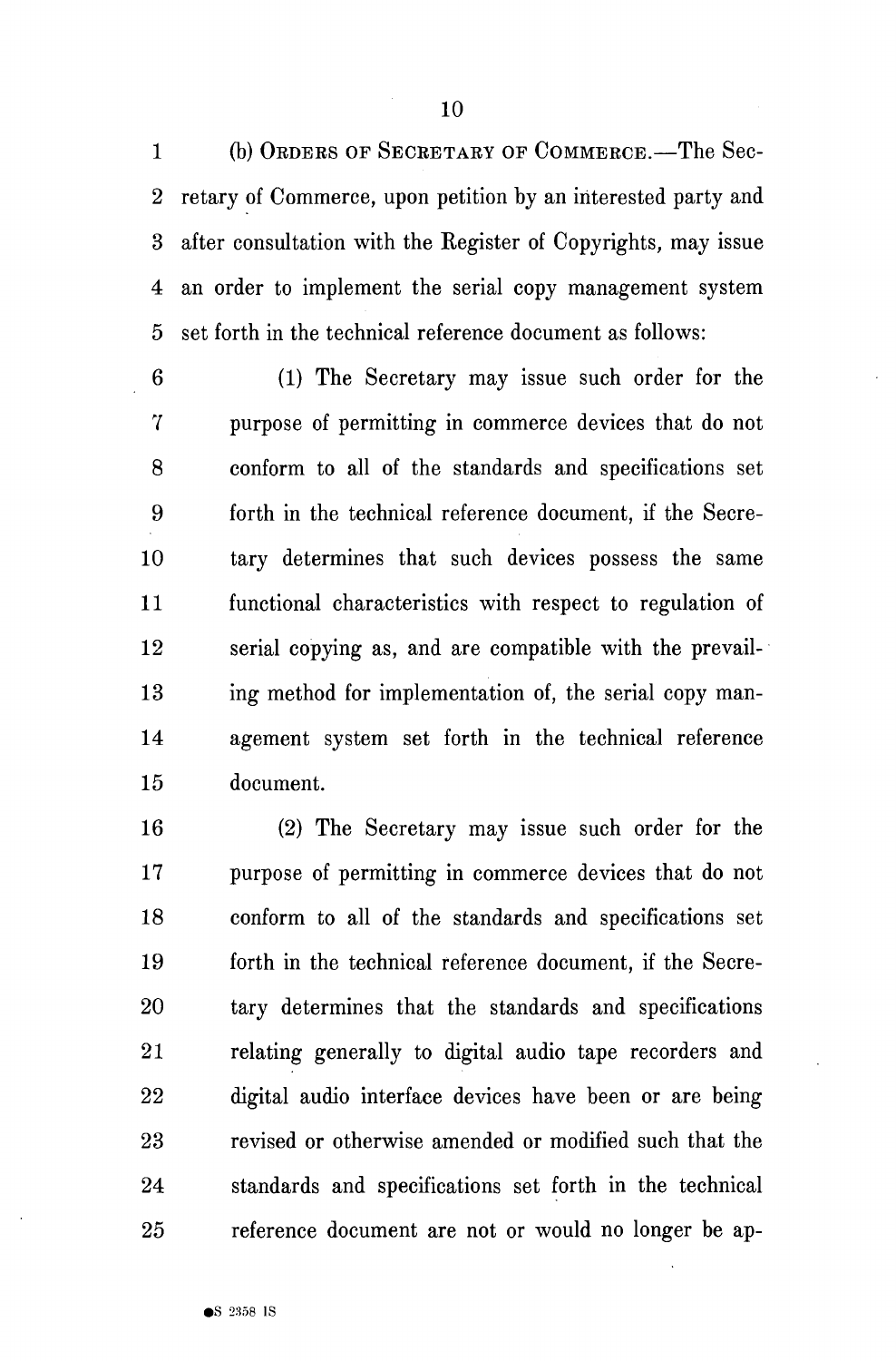1 (b) ORDERS OF SECRETARY OF COMMERCE.—The Sec-2 retary of Commerce, upon petition by an interested party and 3 after consultation with the Register of Copyrights, may issue 4 an order to implement the serial copy management system 5 set forth in the technical reference document as follows:

6 (1) The Secretary may issue such order for the 7 purpose of permitting in commerce devices that do not 8 conform to all of the standards and specifications set 9 forth in the technical reference document, if the Secre-10 tary determines that such devices possess the same 11 functional characteristics with respect to regulation of 12 serial copying as, and are compatible with the prevail-13 ing method for implementation of, the serial copy man-14 agement system set forth in the technical reference 15 document.

16 (2) The Secretary may issue such order for the 17 purpose of permitting in commerce devices that do not 18 conform to all of the standards and specifications set 19 forth in the technical reference document, if the Secre-20 tary determines that the standards and specifications 21 relating generally to digital audio tape recorders and 22 digital audio interface devices have been or are being 23 revised or otherwise amended or modified such that the 24 standards and specifications set forth in the technical 25 reference document are not or would no longer be ap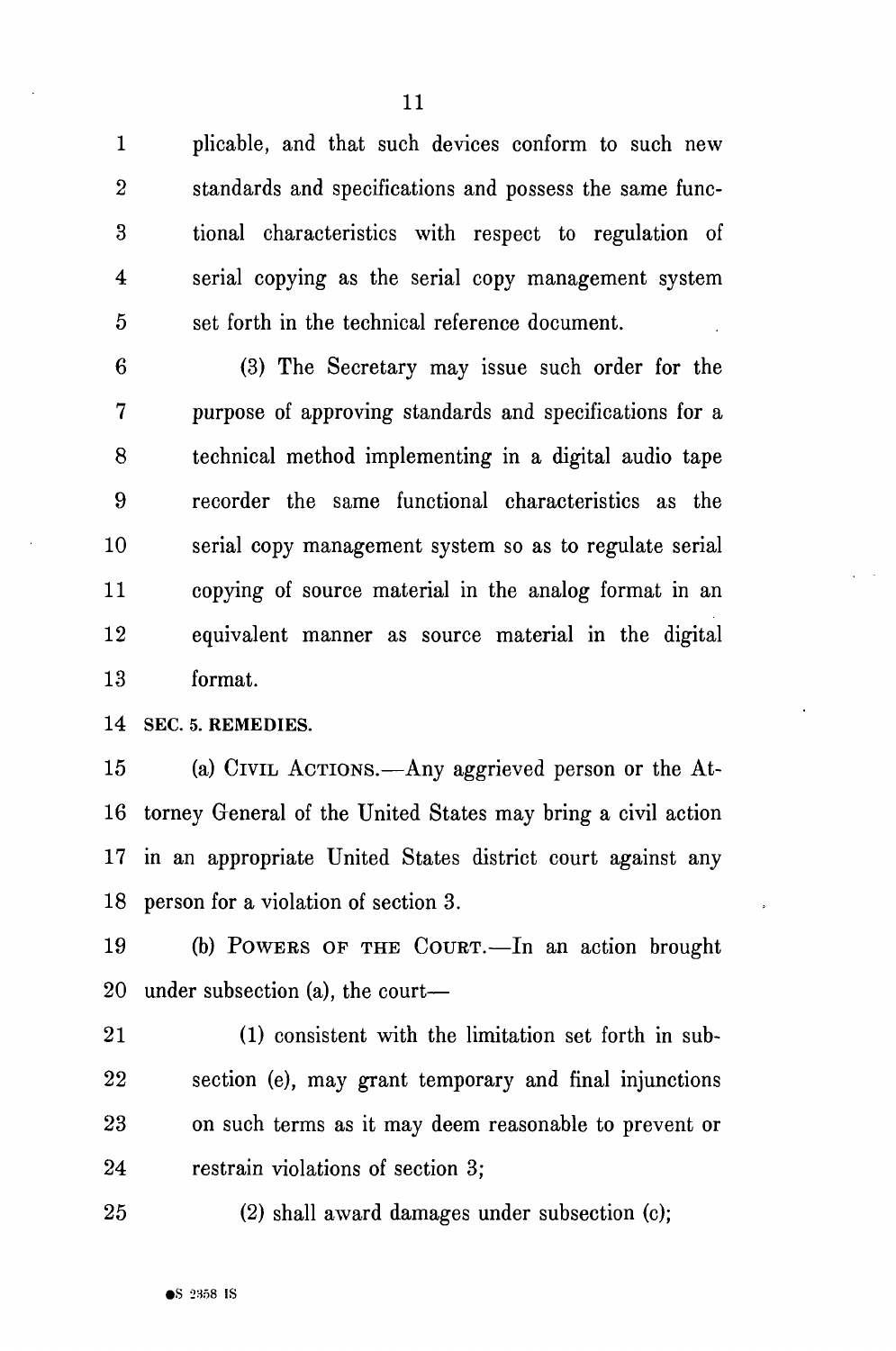1 plicable, and that such devices conform to such new 2 standards and specifications and possess the same func-3 tional characteristics with respect to regulation of 4 serial copying as the serial copy management system 5 set forth in the technical reference document.

6 (3) The Secretary may issue such order for the 7 purpose of approving standards and specifications for a 8 technical method implementing in a digital audio tape 9 recorder the same functional characteristics as the 10 serial copy management system so as to regulate serial 11 copying of source material in the analog format in an 12 equivalent manner as source material in the digital 13 format.

14 SEC. 5. REMEDIES.

15 (a) CIVIL ACTIONS.—Any aggrieved person or the At-16 torney General of the United States may bring a civil action 17 in an appropriate United States district court against any 18 person for a violation of section 3.

19 (b) POWERS OF THE COURT.—In an action brought 20 under subsection (a), the court—

21 (1) consistent with the limitation set forth in sub-22 section (e), may grant temporary and final injunctions 23 on such terms as it may deem reasonable to prevent or 24 restrain violations of section 3;

25 (2) shall award damages under subsection (c);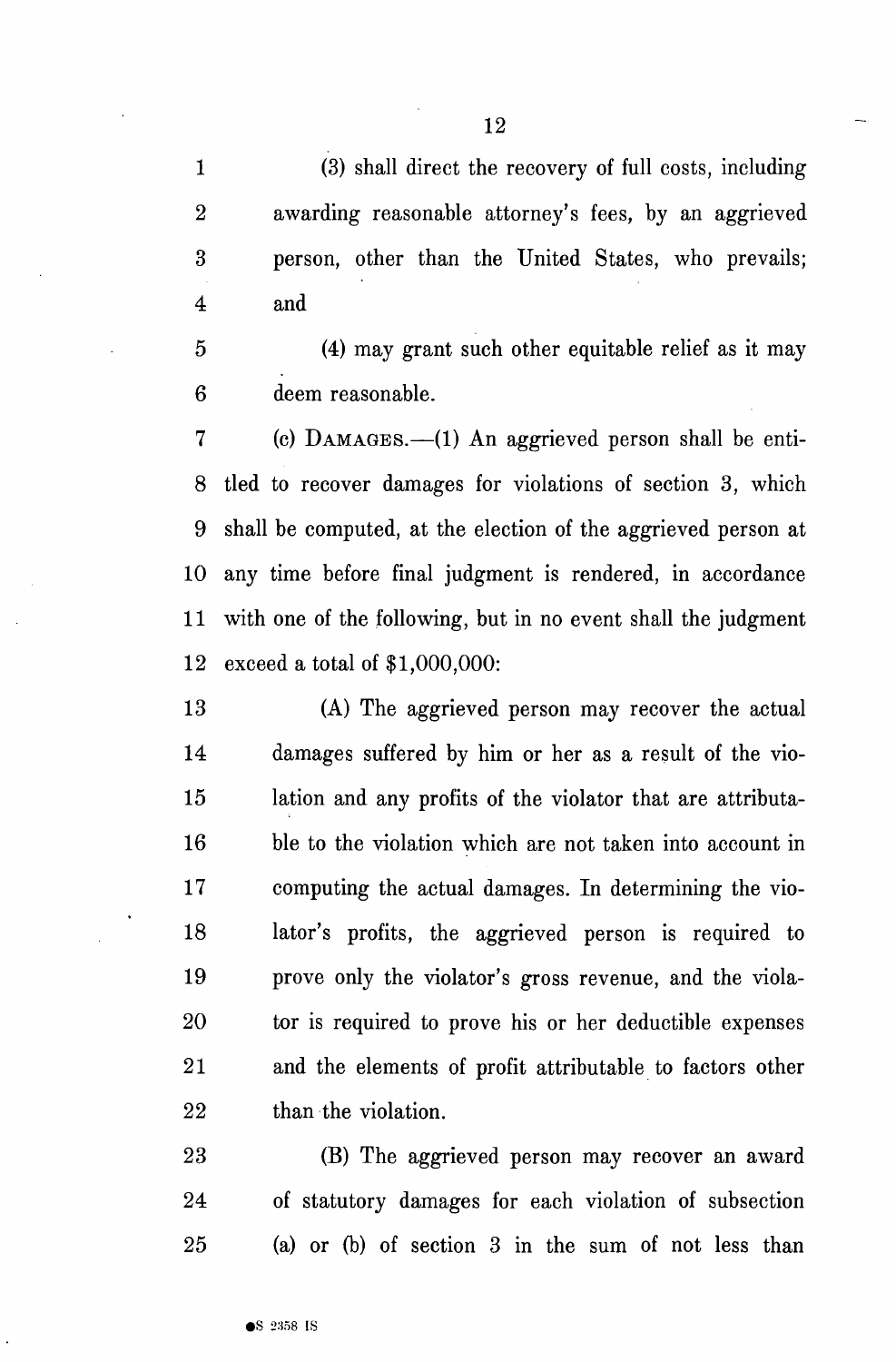1 (3) shall direct the recovery of full costs, including 2 awarding reasonable attorney's fees, by an aggrieved 3 person, other than the United States, who prevails; 4 and

5 (4) may grant such other equitable relief as it may 6 deem reasonable.

7 (c) DAMAGES.—(1) An aggrieved person shall be enti-8 tied to recover damages for violations of section 3, which 9 shall be computed, at the election of the aggrieved person at 10 any time before final judgment is rendered, in accordance 11 with one of the following, but in no event shall the judgment 12 exceed a total of \$1,000,000:

13 (A) The aggrieved person may recover the actual 14 damages suffered by him or her as a result of the vio-15 lation and any profits of the violator that are attributa-16 ble to the violation which are not taken into account in 17 computing the actual damages. In determining the vio-18 lator's profits, the aggrieved person is required to 19 prove only the violator's gross revenue, and the viola-20 tor is required to prove his or her deductible expenses 21 and the elements of profit attributable to factors other 22 than the violation.

23 (B) The aggrieved person may recover an award 24 of statutory damages for each violation of subsection 25 (a) or (b) of section 3 in the sum of not less than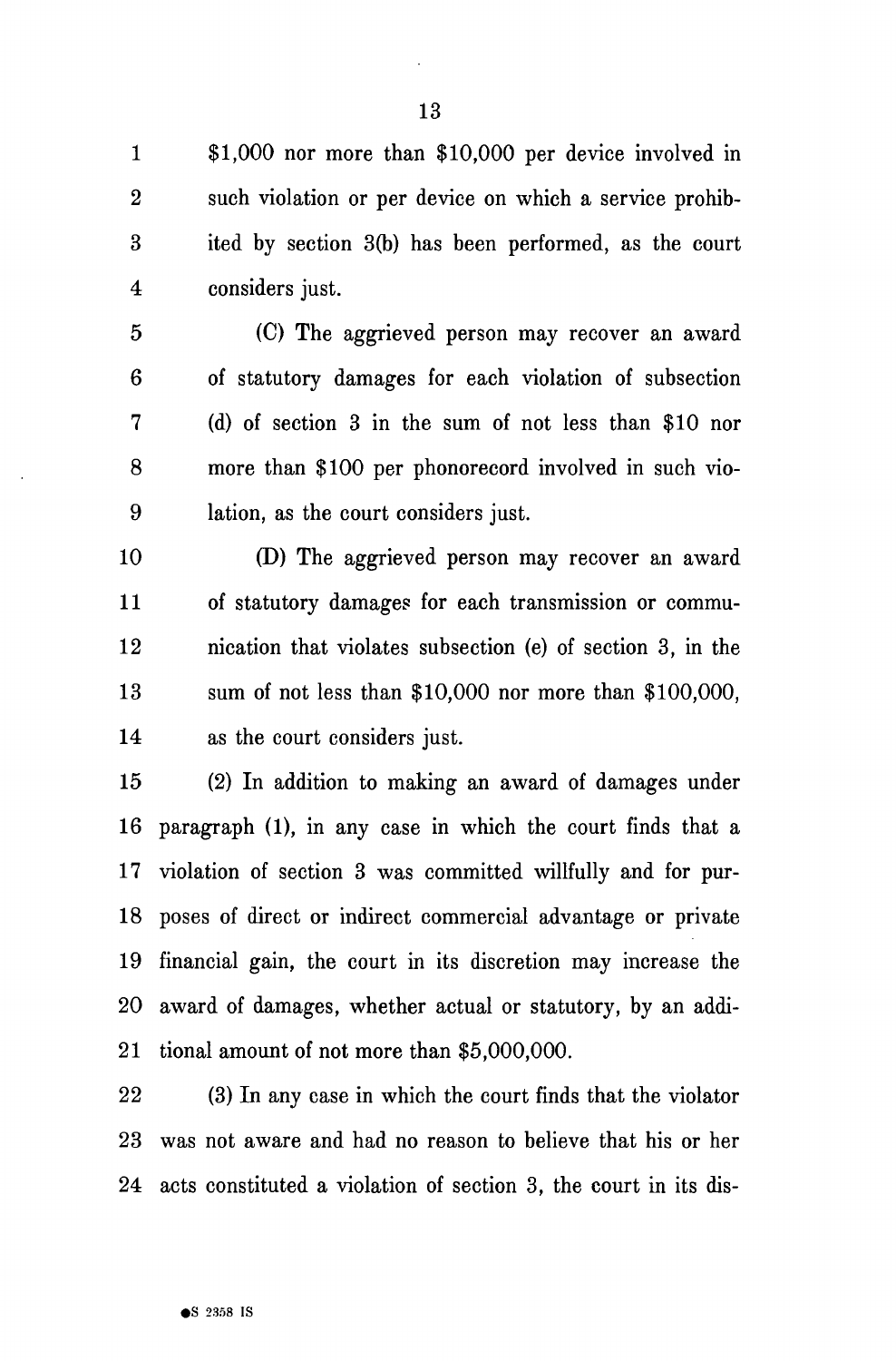1 \$1,000 nor more than \$10,000 per device involved in 2 such violation or per device on which a service prohib-3 ited by section 3(b) has been performed, as the court 4 considers just.

5 (C) The aggrieved person may recover an award 6 of statutory damages for each violation of subsection 7 (d) of section 3 in the sum of not less than \$10 nor 8 more than \$100 per phonorecord involved in such vio-9 lation, as the court considers just.

10 (D) The aggrieved person may recover an award 11 of statutory damages for each transmission or commu-12 nication that violates subsection (e) of section 3, in the 13 sum of not less than \$10,000 nor more than \$100,000, 14 as the court considers just.

15 (2) In addition to making an award of damages under 16 paragraph (1), in any case in which the court finds that a 17 violation of section 3 was committed willfully and for pur-18 poses of direct or indirect commercial advantage or private 19 financial gain, the court in its discretion may increase the 20 award of damages, whether actual or statutory, by an addi-21 tional amount of not more than \$5,000,000.

22 (3) In any case in which the court finds that the violator 23 was not aware and had no reason to believe that his or her 24 acts constituted a violation of section 3, the court in its dis-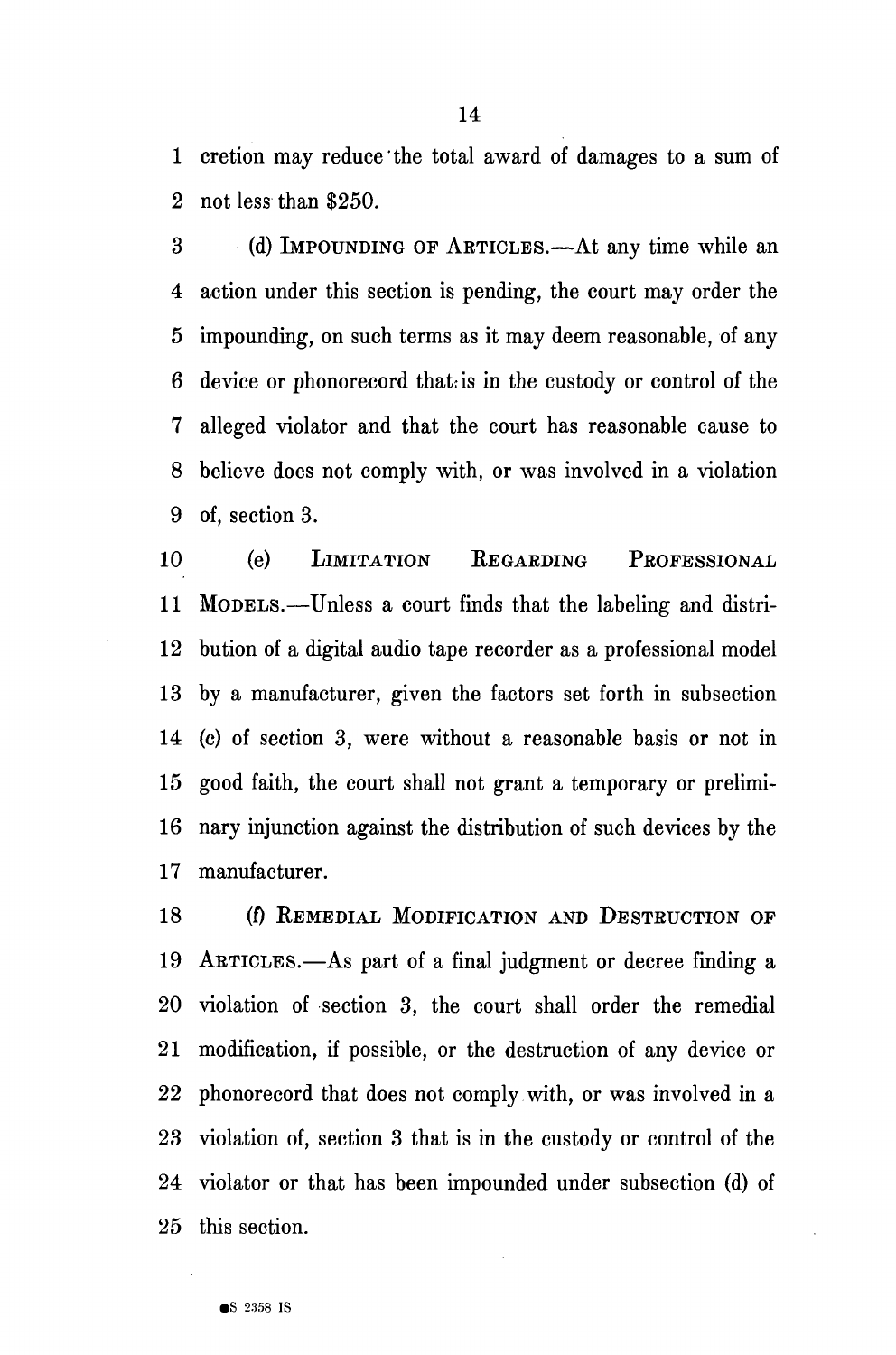1 cretion may reduce the total award of damages to a sum of 2 not less than \$250.

3 (d) IMPOUNDING OF AETICLES.—At any time while an 4 action under this section is pending, the court may order the 5 impounding, on such terms as it may deem reasonable, of any 6 device or phonorecord that is in the custody or control of the 7 alleged violator and that the court has reasonable cause to 8 believe does not comply with, or was involved in a violation 9 of, section 3.

10 (e) LIMITATION EEGAEDING PROFESSIONAL 11 MODELS.—Unless a court finds that the labeling and distri-12 bution of a digital audio tape recorder as a professional model 13 by a manufacturer, given the factors set forth in subsection 14 (c) of section 3, were without a reasonable basis or not in 15 good faith, the court shall not grant a temporary or prelimi-16 nary injunction against the distribution of such devices by the 17 manufacturer.

18 (f) REMEDIAL MODIFICATION AND DESTRUCTION OF 19 ARTICLES.—As part of a final judgment or decree finding a 20 violation of section 3, the court shall order the remedial 21 modification, if possible, or the destruction of any device or 22 phonorecord that does not comply with, or was involved in a 23 violation of, section 3 that is in the custody or control of the 24 violator or that has been impounded under subsection (d) of 25 this section.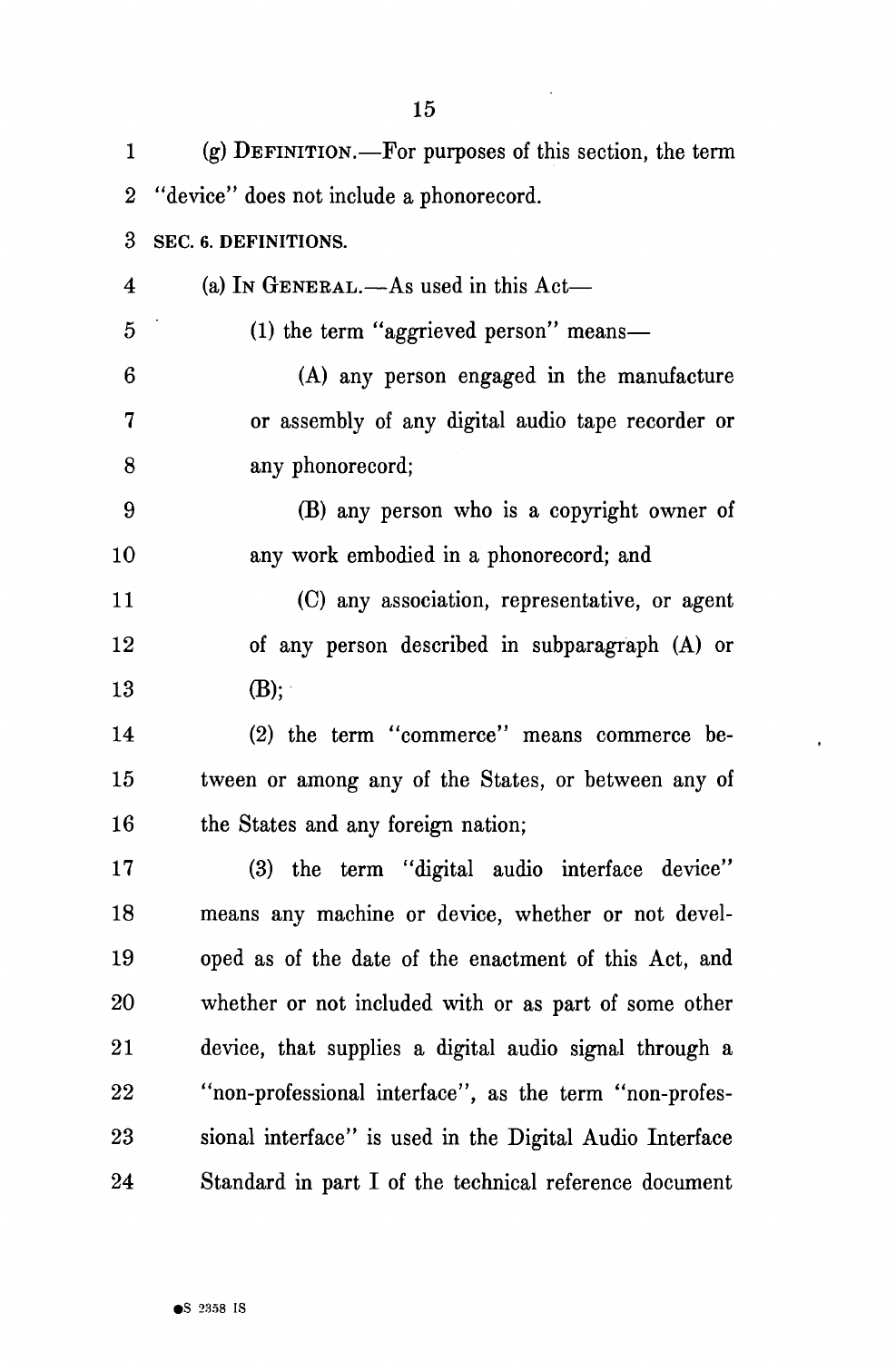| 1                       | (g) DEFINITION.—For purposes of this section, the term   |
|-------------------------|----------------------------------------------------------|
| $\boldsymbol{2}$        | "device" does not include a phonorecord.                 |
| 3                       | SEC. 6. DEFINITIONS.                                     |
| $\overline{\mathbf{4}}$ | (a) In GENERAL.—As used in this $Act$ —                  |
| $\mathbf{5}$            | (1) the term "aggrieved person" means—                   |
| 6                       | (A) any person engaged in the manufacture                |
| $\mathbf 7$             | or assembly of any digital audio tape recorder or        |
| 8                       | any phonorecord;                                         |
| 9                       | (B) any person who is a copyright owner of               |
| 10                      | any work embodied in a phonorecord; and                  |
| 11                      | (C) any association, representative, or agent            |
| 12                      | of any person described in subparagraph (A) or           |
| $13\,$                  | $(B)$ ;                                                  |
| 14                      | (2) the term "commerce" means commerce be-               |
| $15\,$                  | tween or among any of the States, or between any of      |
| 16                      | the States and any foreign nation;                       |
| $17\,$                  | (3) the term "digital audio interface device"            |
| 18                      | means any machine or device, whether or not devel-       |
| 19                      | oped as of the date of the enactment of this Act, and    |
| $20\,$                  | whether or not included with or as part of some other    |
| $21\,$                  | device, that supplies a digital audio signal through a   |
| $22\,$                  | "non-professional interface", as the term "non-profes-   |
| $23\,$                  | sional interface" is used in the Digital Audio Interface |
| 24                      | Standard in part I of the technical reference document   |

 $\mathcal{A}$ 

 $\ddot{\phantom{0}}$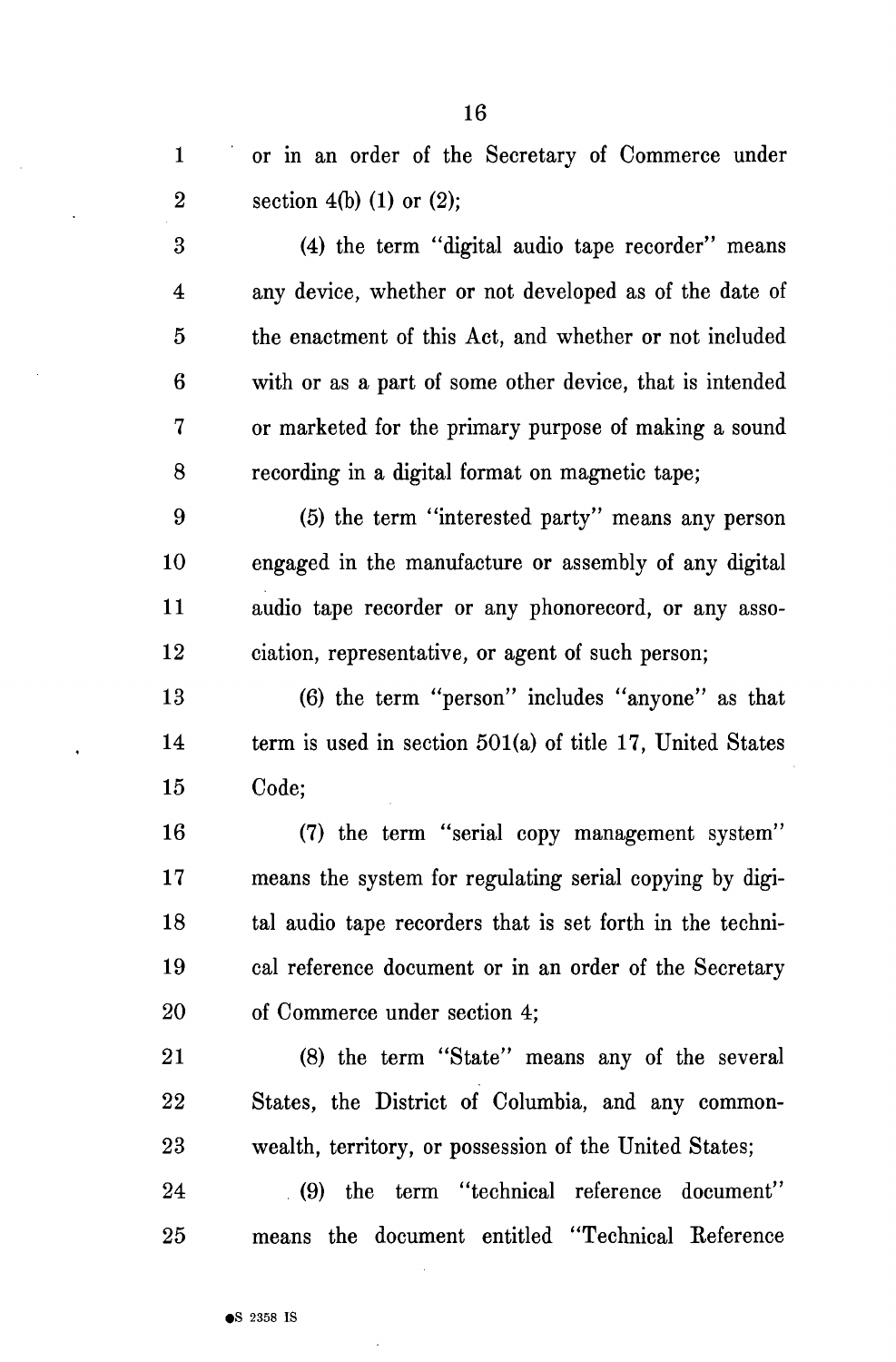1 or in an order of the Secretary of Commerce under 2 section 4(b) (1) or (2); 3 (4) the term "digital audio tape recorder" means 4 any device, whether or not developed as of the date of 5 the enactment of this Act, and whether or not included 6 with or as a part of some other device, that is intended 7 or marketed for the primary purpose of making a sound

8 recording in a digital format on magnetic tape;

9 (5) the term "interested party" means any person 10 engaged in the manufacture or assembly of any digital 11 audio tape recorder or any phonorecord, or any asso-12 ciation, representative, or agent of such person;

13 (6) the term "person" includes "anyone" as that 14 term is used in section 501(a) of title 17, United States 15 Code;

16 (7) the term "serial copy management system" 17 means the system for regulating serial copying by digi-18 tal audio tape recorders that is set forth in the techni-19 cal reference document or in an order of the Secretary 20 of Commerce under section 4;

21 (8) the term "State" means any of the several 22 States, the District of Columbia, and any common-23 wealth, territory, or possession of the United States;

24 (9) the term "technical reference document" 25 means the document entitled "Technical Keference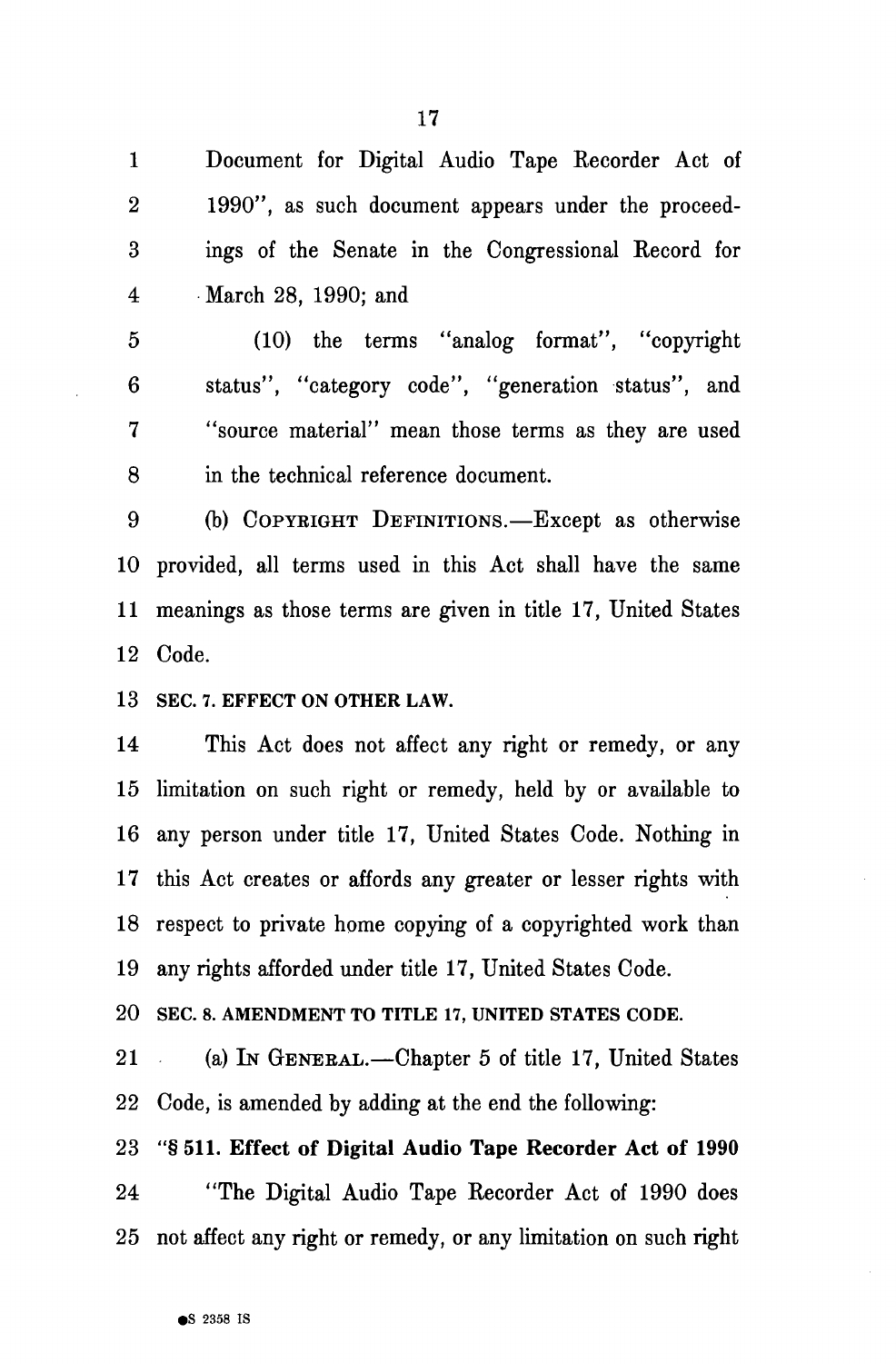1 Document for Digital Audio Tape Recorder Act of 2 1990", as such document appears under the proceed-3 ings of the Senate in the Congressional Record for 4 March 28, 1990; and

5 (10) the terms "analog format", "copyright 6 status", "category code", "generation status", and 7 "source material" mean those terms as they are used 8 in the technical reference document.

9 (b) COPYEIGHT DEFINITIONS.—Except as otherwise 10 provided, all terms used in this Act shall have the same 11 meanings as those terms are given in title 17, United States 12 Code.

**13 SEC. 7. EFFECT ON OTHER LAW.** 

14 This Act does not affect any right or remedy, or any 15 limitation on such right or remedy, held by or available to 16 any person under title 17, United States Code. Nothing in 17 this Act creates or affords any greater or lesser rights with 18 respect to private home copying of a copyrighted work than 19 any rights afforded under title 17, United States Code.

**20 SEC. 8. AMENDMENT TO TITLE 17, UNITED STATES CODE.** 

21 (a) IN GENERAL.—Chapter 5 of title 17, United States 22 Code, is amended by adding at the end the following:

23 "§ 511. Effect of Digital Audio Tape Recorder Act of 1990 24 "The Digital Audio Tape Recorder Act of 1990 does 25 not affect any right or remedy, or any limitation on such right